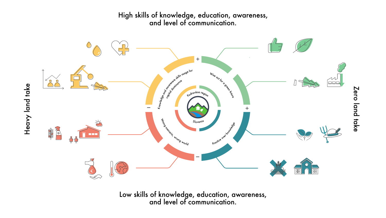

## High skills of knowledge, education, awareness, and level of communication.

Low skills of knowledge, education, awareness,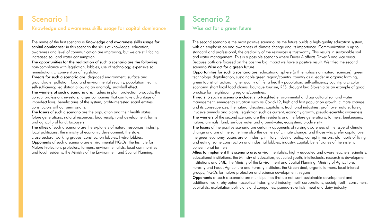The name of the first scenario is Knowledge and awareness skills usage for capital dominance: in this scenario the skills of knowledge, education, awareness and level of communication are improving, but we are still facing increased soil and water consumption.

Threats for such a scenario are: degraded environment, surface and groundwater pollution, food and environmental security, population health, self-sufficiency, legislation allowing an anomaly, snowball effect.

The opportunities for the realization of such a scenario are the following: non-compliance with legislation, lobbies, use of technology, expensive soil remediation, circumvention of legislation.

The winners of such a scenario are: traders in plant protection products, the corrupt profession, investors, larger companies that can take advantage of imperfect laws, beneficiaries of the system, profit-interested social entities, constructors without permissions.

The losers of such a scenario are the population and their health status, future generations, natural resources, biodiversity, rural development, farms and agricultural land, taxpayers.

The allies of such a scenario are the exploiters of natural resources, industry, local politicians, the ministry of economic development, the state, cross-sectoral working groups, construction lobbies, hydro lobbies.

The second scenario is the most positive scenario, as the future builds a high-quality education system, with an emphasis on and awareness of climate change and its importance. Communication is up to standard and professional, the credibility of the resources is trustworthy. This results in sustainable soil and water management. This is a possible scenario where Driver A affects Driver B and vice versa. Because both are focused on the positive big impact we have a positive result. We titled the second scenario Wise act for a green future.

Opponents of such a scenario are environmental NGOs, the Institute for Nature Protection, protesters, farmers, environmentalists, local communities and local residents, the Ministry of the Environment and Spatial Planning.

# Scenario 1

### Knowledge and awareness skills usage for capital dominance

Threats to such a scenario include: short-sighted environmental and agricultural soil and water management, emergency situation such as Covid-19, high and fast population growth, climate change and its consequences, the natural disasters, capitalism, traditional industries, profit over nature, foreign invasive animals and plants, legislation such as current, economy growth, pseudo-scientific awareness. The winners of the second scenario are the residents and the future generations, farmers, beekeepers, nature, animals, land, surface water and groundwater, ecosystem, biodiversity.

The losers of the positive scenario are certainly opponents of raising awareness of the issue of climate change and are at the same time also the deniers of climate change; and those who prefer capital over the green economy. Losers are oil industry, military industrial policy, corrupt investors, old habits of living and eating, some construction and industrial lobbies, industry, capital, beneficiaries of the system, conventional farmers.

Allies to implement this scenario are: environmentalists, highly educated and aware teachers, scientists, educational institutions, the Ministry of Education, educated youth, intellectuals, research & development institutions and SME, the Ministry of the Environment and Spatial Planning, Ministry of Agriculture, Forestry and Food, Agriculture and Forestry institutes, the Green deal, organic farmers, local interest groups, NGOs for nature protection and science development, vegans.

Opportunities for such a scenario are: educational sphere (with emphasis on natural sciences), green technology, digitalization, sustainable green region/country, country as a leader in organic farming, green tourist attraction, higher quality of life, a healthy population, self-sufficiency country, a circular economy, short local food chains, boutique tourism, RES, drought law, Slovenia as an example of good practice for neighbouring regions/countries.

Opponents of such a scenario are municipalities that do not want sustainable development and additional work, phytopharmaceutical industry, old industry, multi-corporations, society itself - consumers, capitalists, exploitation politicians and companies, pseudo-scientists, meat and dairy industry.

# Scenario 2

### Wise act for a green future